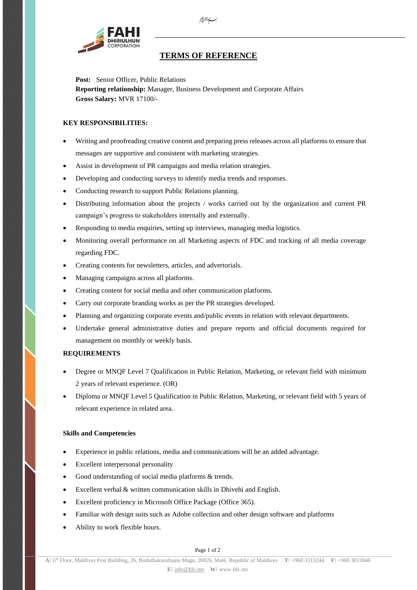

## **TERMS OF REFERENCE**

*`*

**Post:** Senior Officer, Public Relations **Reporting relationship:** Manager, Business Development and Corporate Affairs **Gross Salary:** MVR 17100/-

## **KEY RESPONSIBILITIES:**

- Writing and proofreading creative content and preparing press releases across all platforms to ensure that messages are supportive and consistent with marketing strategies.
- Assist in development of PR campaigns and media relation strategies.
- Developing and conducting surveys to identify media trends and responses.
- Conducting research to support Public Relations planning.
- Distributing information about the projects / works carried out by the organization and current PR campaign's progress to stakeholders internally and externally.
- Responding to media enquiries, setting up interviews, managing media logistics.
- Monitoring overall performance on all Marketing aspects of FDC and tracking of all media coverage regarding FDC.
- Creating contents for newsletters, articles, and advertorials.
- Managing campaigns across all platforms.
- Creating content for social media and other communication platforms.
- Carry out corporate branding works as per the PR strategies developed.
- Planning and organizing corporate events and/public events in relation with relevant departments.
- Undertake general administrative duties and prepare reports and official documents required for management on monthly or weekly basis.

## **REQUIREMENTS**

- Degree or MNQF Level 7 Qualification in Public Relation, Marketing, or relevant field with minimum 2 years of relevant experience. (OR)
- Diploma or MNQF Level 5 Qualification in Public Relation, Marketing, or relevant field with 5 years of relevant experience in related area.

## **Skills and Competencies**

- Experience in public relations, media and communications will be an added advantage.
- Excellent interpersonal personality
- Good understanding of social media platforms & trends.
- Excellent verbal & written communication skills in Dhivehi and English.
- Excellent proficiency in Microsoft Office Package (Office 365).
- Familiar with design suits such as Adobe collection and other design software and platforms
- Ability to work flexible hours.

Page 1 of 2